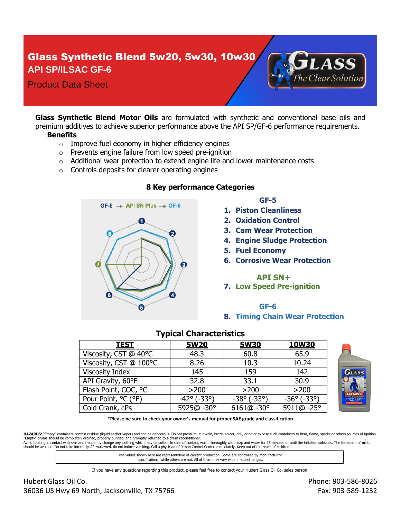# Glass Synthetic Blend 5w20, 5w30, 10w30 **API SP/ILSAC GF-6**



**Glass Synthetic Blend Motor Oils** are formulated with synthetic and conventional base oils and premium additives to achieve superior performance above the API SP/GF-6 performance requirements. **Benefits**

- $\circ$  Improve fuel economy in higher efficiency engines
- o Prevents engine failure from low speed pre-ignition
- $\circ$  Additional wear protection to extend engine life and lower maintenance costs
- o Controls deposits for clearer operating engines



### **8 Key performance Categories**

### **GF-5**

- **1. Piston Cleanliness**
- **2. Oxidation Control**
- **3. Cam Wear Protection**
- **4. Engine Sludge Protection**

he Clear Solution

- **5. Fuel Economy**
- **6. Corrosive Wear Protection**

### **API SN+**

**7. Low Speed Pre-ignition**

### **GF-6**

#### **8. Timing Chain Wear Protection**

| <b>TEST</b>            | <b>5W20</b>                     | <b>5W30</b>                     | <b>10W30</b>                    |
|------------------------|---------------------------------|---------------------------------|---------------------------------|
| Viscosity, CST @ 40°C  | 48.3                            | 60.8                            | 65.9                            |
| Viscosity, CST @ 100°C | 8.26                            | 10.3                            | 10.24                           |
| <b>Viscosity Index</b> | 145                             | 159                             | 142                             |
| API Gravity, 60°F      | 32.8                            | 33.1                            | 30.9                            |
| Flash Point, COC, °C   | >200                            | >200                            | >200                            |
| Pour Point, °C (°F)    | $-42^{\circ}$ ( $-33^{\circ}$ ) | $-38^{\circ}$ ( $-33^{\circ}$ ) | $-36^{\circ}$ ( $-33^{\circ}$ ) |
| Cold Crank, cPs        | 5925@-30°                       | $6161@ - 30°$                   | 5911@-25°                       |

### **Typical Characteristics**

\***Please be sure to check your owner's manual for proper SAE grade and classification**

HAZARDS: "Empty" containers contain residue (liquid and/or vapor) and can be dangerous. Do not pressure, cut weld, braze, solder, drill, grind or expose such containers to heat, flame, sparks or others sources of ignition. "Empty" drums should be completely drained, properly bunged, and promptly returned to a drum reconditioner.<br>Avoid prolonged contact with skin and frequently change any clothing which may be soiled. In case of contact, wash should be avoided. Do not take internally. If swallowed, do not induce vomiting. Call a physician of Poison Control Center immediately. Keep out of the reach of children.

> The values shown here are representative of current production. Some are controlled by manufacturing specifications, while others are not. All of them may vary within modest ranges.

If you have any questions regarding this product, please feel free to contact your Hubert Glass Oil Co. sales person.